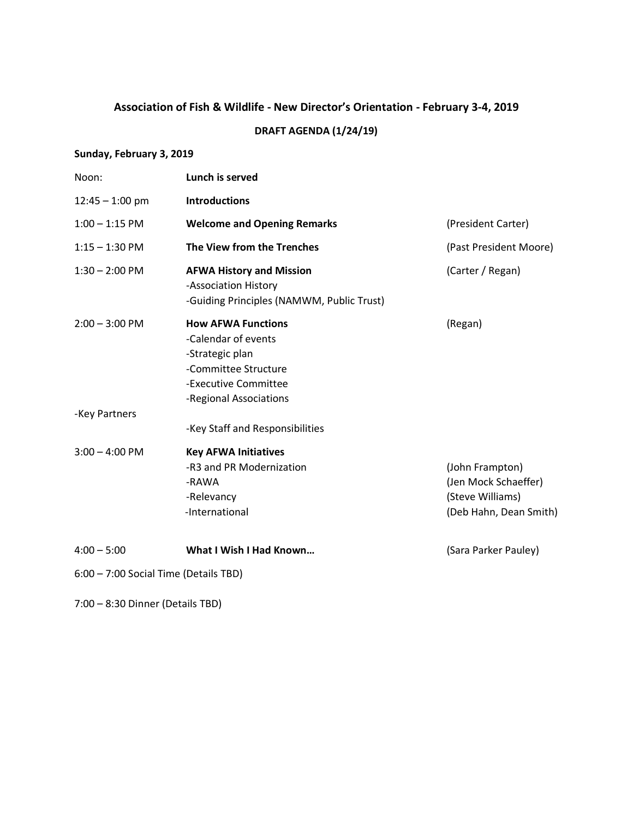## **Association of Fish & Wildlife - New Director's Orientation - February 3-4, 2019 DRAFT AGENDA (1/24/19)**

## **Sunday, February 3, 2019**

| Noon:                                 | Lunch is served                                                                                                                               |                                                                                       |
|---------------------------------------|-----------------------------------------------------------------------------------------------------------------------------------------------|---------------------------------------------------------------------------------------|
| $12:45 - 1:00$ pm                     | <b>Introductions</b>                                                                                                                          |                                                                                       |
| $1:00 - 1:15$ PM                      | <b>Welcome and Opening Remarks</b>                                                                                                            | (President Carter)                                                                    |
| $1:15 - 1:30$ PM                      | The View from the Trenches                                                                                                                    | (Past President Moore)                                                                |
| $1:30 - 2:00$ PM                      | <b>AFWA History and Mission</b><br>-Association History<br>-Guiding Principles (NAMWM, Public Trust)                                          | (Carter / Regan)                                                                      |
| $2:00 - 3:00$ PM                      | <b>How AFWA Functions</b><br>-Calendar of events<br>-Strategic plan<br>-Committee Structure<br>-Executive Committee<br>-Regional Associations | (Regan)                                                                               |
| -Key Partners                         | -Key Staff and Responsibilities                                                                                                               |                                                                                       |
| $3:00 - 4:00$ PM                      | <b>Key AFWA Initiatives</b><br>-R3 and PR Modernization<br>-RAWA<br>-Relevancy<br>-International                                              | (John Frampton)<br>(Jen Mock Schaeffer)<br>(Steve Williams)<br>(Deb Hahn, Dean Smith) |
| $4:00 - 5:00$                         | What I Wish I Had Known                                                                                                                       | (Sara Parker Pauley)                                                                  |
| 6:00 - 7:00 Social Time (Details TBD) |                                                                                                                                               |                                                                                       |
|                                       |                                                                                                                                               |                                                                                       |

7:00 – 8:30 Dinner (Details TBD)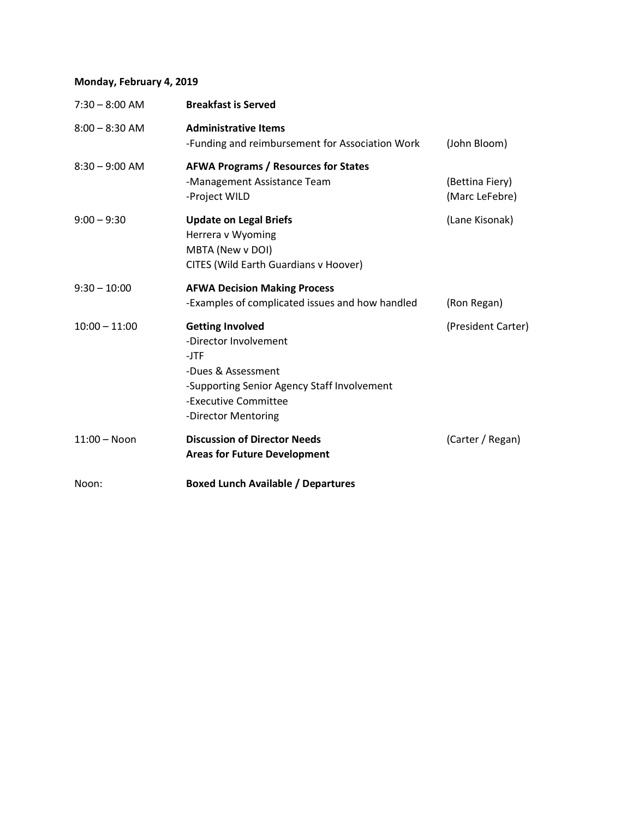## **Monday, February 4, 2019**

| $7:30 - 8:00$ AM | <b>Breakfast is Served</b>                                                                                                                                                                         |                                   |
|------------------|----------------------------------------------------------------------------------------------------------------------------------------------------------------------------------------------------|-----------------------------------|
| $8:00 - 8:30$ AM | <b>Administrative Items</b><br>-Funding and reimbursement for Association Work                                                                                                                     | (John Bloom)                      |
| $8:30 - 9:00$ AM | <b>AFWA Programs / Resources for States</b><br>-Management Assistance Team<br>-Project WILD                                                                                                        | (Bettina Fiery)<br>(Marc LeFebre) |
| $9:00 - 9:30$    | <b>Update on Legal Briefs</b><br>Herrera v Wyoming<br>MBTA (New v DOI)<br>CITES (Wild Earth Guardians v Hoover)                                                                                    | (Lane Kisonak)                    |
| $9:30 - 10:00$   | <b>AFWA Decision Making Process</b><br>-Examples of complicated issues and how handled                                                                                                             | (Ron Regan)                       |
| $10:00 - 11:00$  | <b>Getting Involved</b><br>(President Carter)<br>-Director Involvement<br>-JTF<br>-Dues & Assessment<br>-Supporting Senior Agency Staff Involvement<br>-Executive Committee<br>-Director Mentoring |                                   |
| $11:00 - N$ on   | <b>Discussion of Director Needs</b><br><b>Areas for Future Development</b>                                                                                                                         | (Carter / Regan)                  |
| Noon:            | <b>Boxed Lunch Available / Departures</b>                                                                                                                                                          |                                   |